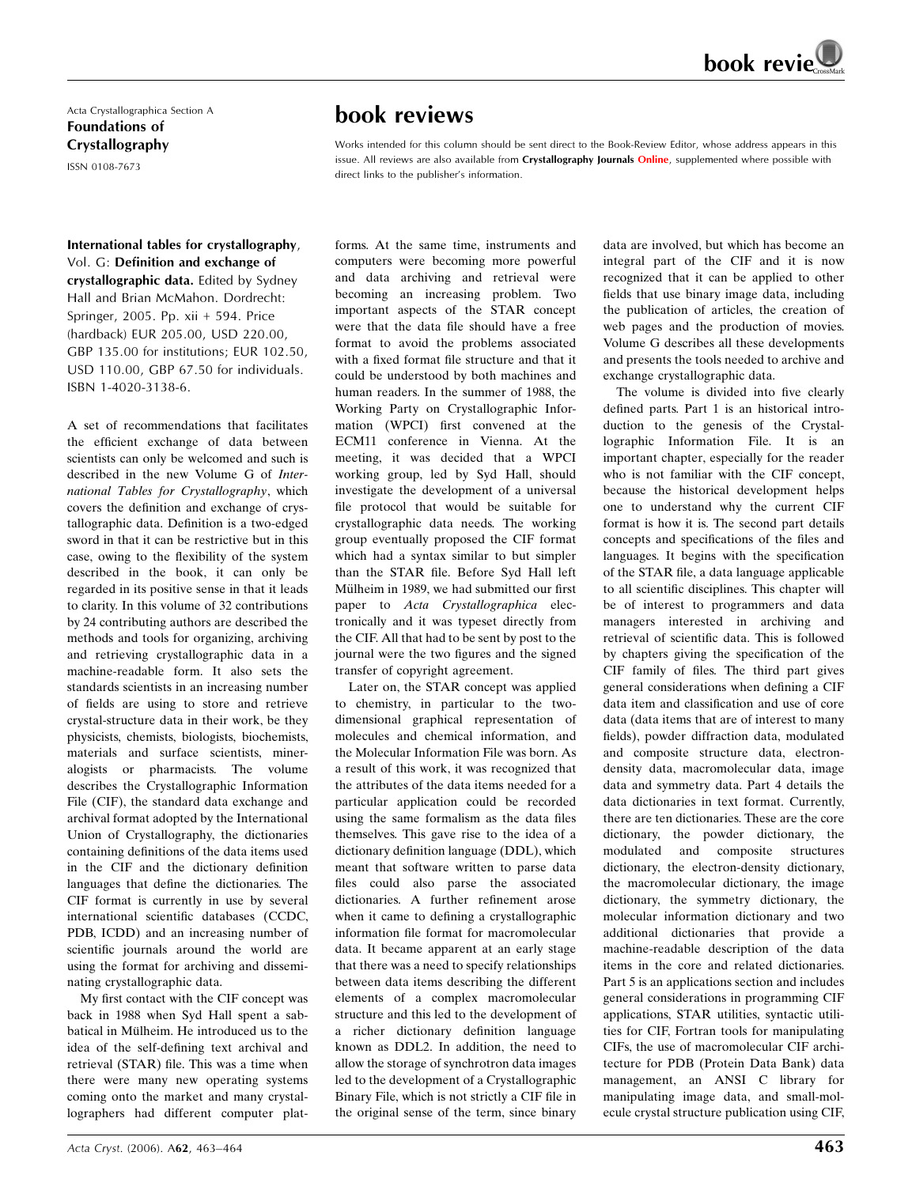Acta Crystallographica Section A Foundations of Crystallography ISSN 0108-7673

International tables for crystallography, Vol. G: Definition and exchange of crystallographic data. Edited by Sydney Hall and Brian McMahon. Dordrecht: Springer, 2005. Pp. xii + 594. Price (hardback) EUR 205.00, USD 220.00, GBP 135.00 for institutions; EUR 102.50, USD 110.00, GBP 67.50 for individuals. ISBN 1-4020-3138-6.

A set of recommendations that facilitates the efficient exchange of data between scientists can only be welcomed and such is described in the new Volume G of International Tables for Crystallography, which covers the definition and exchange of crystallographic data. Definition is a two-edged sword in that it can be restrictive but in this case, owing to the flexibility of the system described in the book, it can only be regarded in its positive sense in that it leads to clarity. In this volume of 32 contributions by 24 contributing authors are described the methods and tools for organizing, archiving and retrieving crystallographic data in a machine-readable form. It also sets the standards scientists in an increasing number of fields are using to store and retrieve crystal-structure data in their work, be they physicists, chemists, biologists, biochemists, materials and surface scientists, mineralogists or pharmacists. The volume describes the Crystallographic Information File (CIF), the standard data exchange and archival format adopted by the International Union of Crystallography, the dictionaries containing definitions of the data items used in the CIF and the dictionary definition languages that define the dictionaries. The CIF format is currently in use by several international scientific databases (CCDC, PDB, ICDD) and an increasing number of scientific journals around the world are using the format for archiving and disseminating crystallographic data.

My first contact with the CIF concept was back in 1988 when Syd Hall spent a sabbatical in Mülheim. He introduced us to the idea of the self-defining text archival and retrieval (STAR) file. This was a time when there were many new operating systems coming onto the market and many crystallographers had different computer plat-

## book reviews

Works intended for this column should be sent direct to the Book-Review Editor, whose address appears in this issue. All reviews are also available from Crystallography Journals Online, supplemented where possible with direct links to the publisher's information.

forms. At the same time, instruments and computers were becoming more powerful and data archiving and retrieval were becoming an increasing problem. Two important aspects of the STAR concept were that the data file should have a free format to avoid the problems associated with a fixed format file structure and that it could be understood by both machines and human readers. In the summer of 1988, the Working Party on Crystallographic Information (WPCI) first convened at the ECM11 conference in Vienna. At the meeting, it was decided that a WPCI working group, led by Syd Hall, should investigate the development of a universal file protocol that would be suitable for crystallographic data needs. The working group eventually proposed the CIF format which had a syntax similar to but simpler than the STAR file. Before Syd Hall left Mülheim in 1989, we had submitted our first paper to Acta Crystallographica electronically and it was typeset directly from the CIF. All that had to be sent by post to the journal were the two figures and the signed transfer of copyright agreement.

Later on, the STAR concept was applied to chemistry, in particular to the twodimensional graphical representation of molecules and chemical information, and the Molecular Information File was born. As a result of this work, it was recognized that the attributes of the data items needed for a particular application could be recorded using the same formalism as the data files themselves. This gave rise to the idea of a dictionary definition language (DDL), which meant that software written to parse data files could also parse the associated dictionaries. A further refinement arose when it came to defining a crystallographic information file format for macromolecular data. It became apparent at an early stage that there was a need to specify relationships between data items describing the different elements of a complex macromolecular structure and this led to the development of a richer dictionary definition language known as DDL2. In addition, the need to allow the storage of synchrotron data images led to the development of a Crystallographic Binary File, which is not strictly a CIF file in the original sense of the term, since binary

data are involved, but which has become an integral part of the CIF and it is now recognized that it can be applied to other fields that use binary image data, including the publication of articles, the creation of web pages and the production of movies. Volume G describes all these developments and presents the tools needed to archive and exchange crystallographic data.

The volume is divided into five clearly defined parts. Part 1 is an historical introduction to the genesis of the Crystallographic Information File. It is an important chapter, especially for the reader who is not familiar with the CIF concept, because the historical development helps one to understand why the current CIF format is how it is. The second part details concepts and specifications of the files and languages. It begins with the specification of the STAR file, a data language applicable to all scientific disciplines. This chapter will be of interest to programmers and data managers interested in archiving and retrieval of scientific data. This is followed by chapters giving the specification of the CIF family of files. The third part gives general considerations when defining a CIF data item and classification and use of core data (data items that are of interest to many fields), powder diffraction data, modulated and composite structure data, electrondensity data, macromolecular data, image data and symmetry data. Part 4 details the data dictionaries in text format. Currently, there are ten dictionaries. These are the core dictionary, the powder dictionary, the modulated and composite structures dictionary, the electron-density dictionary, the macromolecular dictionary, the image dictionary, the symmetry dictionary, the molecular information dictionary and two additional dictionaries that provide a machine-readable description of the data items in the core and related dictionaries. Part 5 is an applications section and includes general considerations in programming CIF applications, STAR utilities, syntactic utilities for CIF, Fortran tools for manipulating CIFs, the use of macromolecular CIF architecture for PDB (Protein Data Bank) data management, an ANSI C library for manipulating image data, and small-molecule crystal structure publication using CIF,